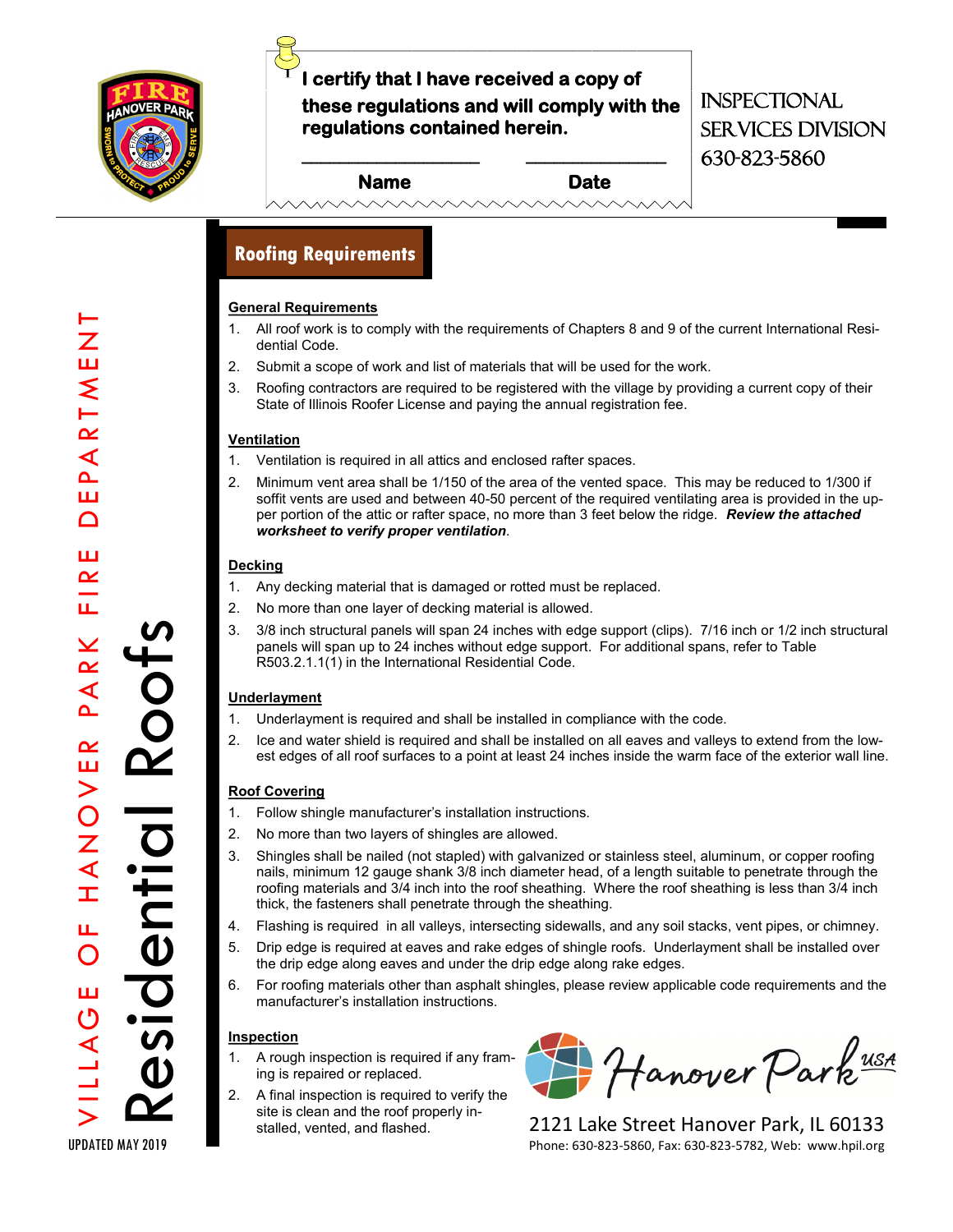

**I certify that I have received a copy of these regulations and will comply with the regulations contained herein. These regulations and will comply with the regulations and will compty with the regulations contained herein.**<br> **Regulations contained herein.**<br> **Rame**<br> **Rame Requirements**<br> **Rame Requirements**<br> **Rame Requirements**<br> **Rame** 

# Inspectional services division 630 -823 -5860

# **\_\_\_\_\_\_\_\_\_\_\_\_\_\_\_\_\_\_\_ \_\_\_\_\_\_\_\_\_\_\_\_\_\_\_ Name Date**

## **Roofing Requirements**

## **General Requirements**

- 1. All roof work is to comply with the requirements of Chapters 8 and 9 of the current International Residential Code.
- 2. Submit a scope of work and list of materials that will be used for the work.
- 3. Roofing contractors are required to be registered with the village by providing a current copy of their State of Illinois Roofer License and paying the annual registration fee.

## **Ventilation**

- 1. Ventilation is required in all attics and enclosed rafter spaces.
- 2. Minimum vent area shall be 1/150 of the area of the vented space. This may be reduced to 1/300 if soffit vents are used and between 40-50 percent of the required ventilating area is provided in the upper portion of the attic or rafter space, no more than 3 feet below the ridge. *Review the attached worksheet to verify proper ventilation .*

## **Decking**

- 1. Any decking material that is damaged or rotted must be replaced.
- 2. No more than one layer of decking material is allowed.
- 3. 3/8 inch structural panels will span 24 inches with edge support (clips). 7/16 inch or 1/2 inch structural panels will span up to 24 inches without edge support. For additional spans, refer to Table R503.2.1.1(1) in the International Residential Code.

## **Underlayment**

- 1. Underlayment is required and shall be installed in compliance with the code.
- 2. Ice and water shield is required and shall be installed on all eaves and valleys to extend from the lowest edges of all roof surfaces to a point at least 24 inches inside the warm face of the exterior wall line.

## **Roof Covering**

- 1. Follow shingle manufacturer's installation instructions.
- 2. No more than two layers of shingles are allowed.
- 3. Shingles shall be nailed (not stapled) with galvanized or stainless steel, aluminum, or copper roofing nails, minimum 12 gauge shank 3/8 inch diameter head, of a length suitable to penetrate through the roofing materials and 3/4 inch into the roof sheathing. Where the roof sheathing is less than 3/4 inch thick, the fasteners shall penetrate through the sheathing.
- 4. Flashing is required in all valleys, intersecting sidewalls, and any soil stacks, vent pipes, or chimney.
- 5. Drip edge is required at eaves and rake edges of shingle roofs. Underlayment shall be installed over the drip edge along eaves and under the drip edge along rake edges.
- 6. For roofing materials other than asphalt shingles, please review applicable code requirements and the manufacturer's installation instructions.

## **Inspection**

- 1. A rough inspection is required if any framing is repaired or replaced.
- 2. A final inspection is required to verify the site is clean and the roof properly in-<br>stalled, vented, and flashed.

2121 Lake Street Hanover Park, IL 60133 -823-5860, Fax: 630-823-5782, Web: www.hpil.org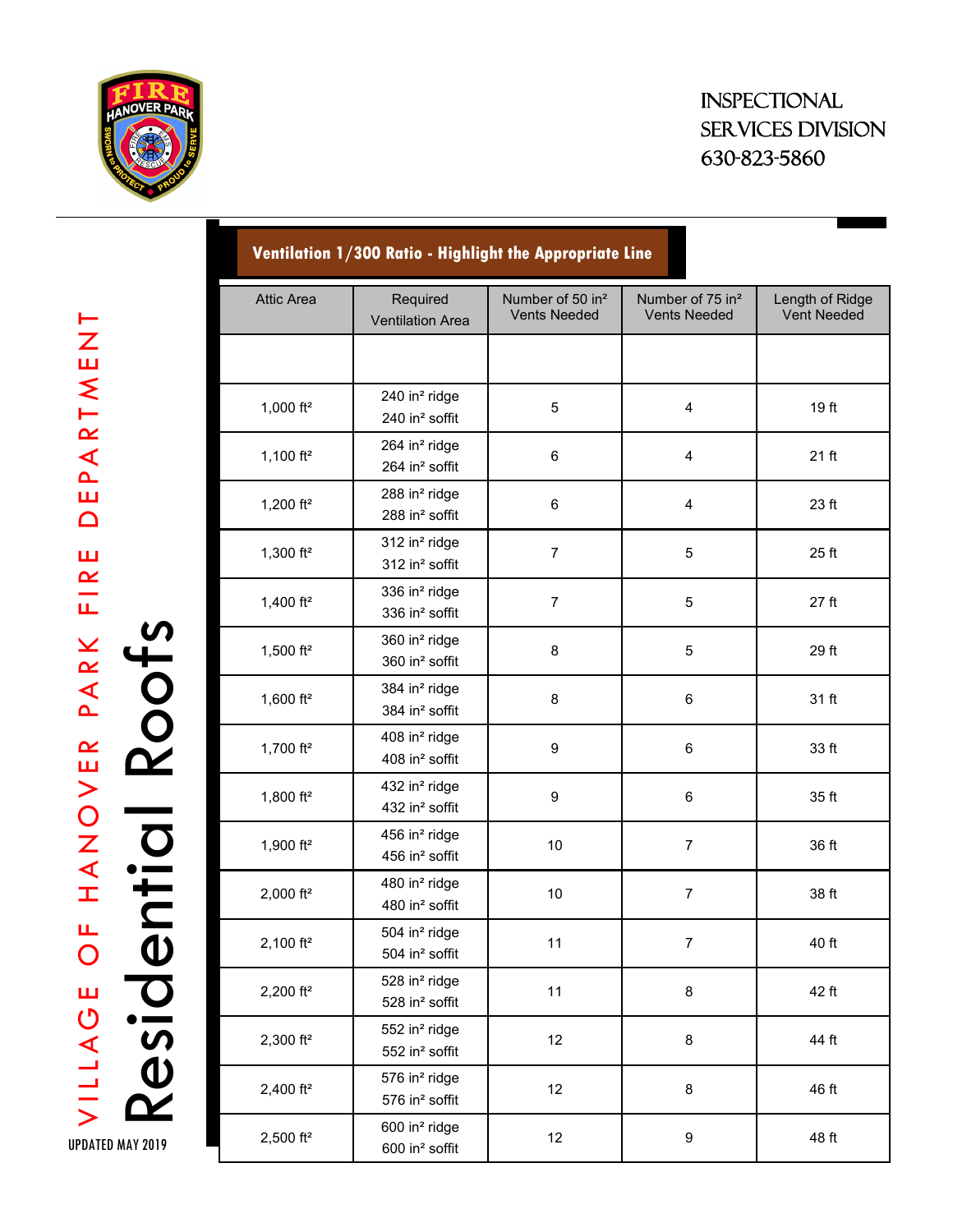

# Inspectional services division 630 -823 -5860

| <b>VOVER PARK</b> |                         |                                                          |                                                     |                                                     | <b>INSPECTIONAL</b><br><b>SERVICES DIVISION</b><br>630-823-5860 |
|-------------------|-------------------------|----------------------------------------------------------|-----------------------------------------------------|-----------------------------------------------------|-----------------------------------------------------------------|
|                   |                         | Ventilation 1/300 Ratio - Highlight the Appropriate Line |                                                     |                                                     |                                                                 |
|                   | <b>Attic Area</b>       | Required<br><b>Ventilation Area</b>                      | Number of 50 in <sup>2</sup><br><b>Vents Needed</b> | Number of 75 in <sup>2</sup><br><b>Vents Needed</b> | Length of Ridge<br><b>Vent Needed</b>                           |
|                   |                         |                                                          |                                                     |                                                     |                                                                 |
|                   | 1,000 $ft^2$            | 240 in <sup>2</sup> ridge<br>240 in <sup>2</sup> soffit  | 5                                                   | $\overline{\mathbf{4}}$                             | 19 ft                                                           |
|                   | 1,100 $ft^2$            | 264 in <sup>2</sup> ridge<br>264 in <sup>2</sup> soffit  | 6                                                   | 4                                                   | 21 ft                                                           |
|                   | 1,200 $ft^2$            | 288 in <sup>2</sup> ridge<br>288 in <sup>2</sup> soffit  | 6                                                   | 4                                                   | 23 ft                                                           |
|                   | 1,300 $ft^2$            | 312 in <sup>2</sup> ridge<br>312 in <sup>2</sup> soffit  | $\overline{7}$                                      | 5                                                   | 25 ft                                                           |
|                   | 1,400 $ft^2$            | 336 in <sup>2</sup> ridge<br>336 in <sup>2</sup> soffit  | $\overline{7}$                                      | $\mathbf 5$                                         | 27 ft                                                           |
|                   | $1,500$ ft <sup>2</sup> | 360 in <sup>2</sup> ridge<br>360 in <sup>2</sup> soffit  | 8                                                   | 5                                                   | 29 ft                                                           |
| Roots             | 1,600 $ft^2$            | 384 in <sup>2</sup> ridge<br>384 in <sup>2</sup> soffit  | 8                                                   | 6                                                   | 31 ft                                                           |
|                   | 1,700 $ft^2$            | 408 in <sup>2</sup> ridge<br>408 in <sup>2</sup> soffit  | 9                                                   | 6                                                   | 33 ft                                                           |
|                   | 1,800 $ft^2$            | 432 in <sup>2</sup> ridge<br>432 in <sup>2</sup> soffit  | 9                                                   | $\,6$                                               | 35 ft                                                           |
|                   | 1,900 $ft^2$            | 456 in <sup>2</sup> ridge<br>456 in <sup>2</sup> soffit  | 10                                                  | $\overline{7}$                                      | 36 ft                                                           |
|                   | 2,000 ft <sup>2</sup>   | 480 in <sup>2</sup> ridge<br>480 in <sup>2</sup> soffit  | $10$                                                | $\boldsymbol{7}$                                    | 38 ft                                                           |
|                   | $2,100$ ft <sup>2</sup> | 504 in <sup>2</sup> ridge<br>504 in <sup>2</sup> soffit  | 11                                                  | $\overline{7}$                                      | 40 ft                                                           |
|                   | 2,200 ft <sup>2</sup>   | 528 in <sup>2</sup> ridge<br>528 in <sup>2</sup> soffit  | 11                                                  | 8                                                   | 42 ft                                                           |
|                   | 2,300 $ft^2$            | 552 in <sup>2</sup> ridge<br>552 in <sup>2</sup> soffit  | 12                                                  | 8                                                   | 44 ft                                                           |
| Residentia        | 2,400 ft <sup>2</sup>   | 576 in <sup>2</sup> ridge<br>576 in <sup>2</sup> soffit  | 12                                                  | 8                                                   | 46 ft                                                           |
| <b>AY 2019</b>    | $2,500$ ft <sup>2</sup> | 600 in <sup>2</sup> ridge<br>600 in <sup>2</sup> soffit  | 12                                                  | $\boldsymbol{9}$                                    | 48 ft                                                           |